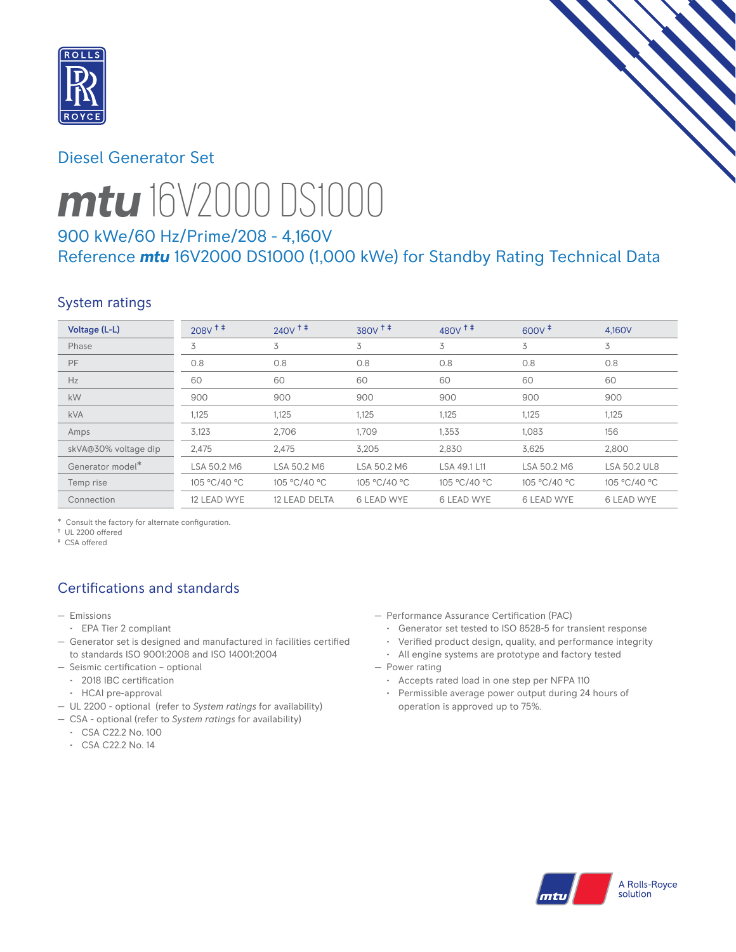

# Diesel Generator Set



# *mtu* 16V2000 DS1000

# 900 kWe/60 Hz/Prime/208 - 4,160V Reference *mtu* 16V2000 DS1000 (1,000 kWe) for Standby Rating Technical Data

# System ratings

| Voltage (L-L)                | $208V$ <sup>++</sup> | $240V$ <sup>++</sup> | $380V$ <sup><math>+</math></sup> | $480V$ <sup>++</sup> | $600V^+$          | 4.160V              |
|------------------------------|----------------------|----------------------|----------------------------------|----------------------|-------------------|---------------------|
| Phase                        | 3                    | 3                    | 3                                | 3                    | 3                 | 3                   |
| PF                           | 0.8                  | 0.8                  | 0.8                              | 0.8                  | 0.8               | 0.8                 |
| Hz                           | 60                   | 60                   | 60                               | 60                   | 60                | 60                  |
| kW                           | 900                  | 900                  | 900                              | 900                  | 900               | 900                 |
| <b>kVA</b>                   | 1,125                | 1,125                | 1,125                            | 1,125                | 1,125             | 1,125               |
| Amps                         | 3,123                | 2.706                | 1.709                            | 1,353                | 1,083             | 156                 |
| skVA@30% voltage dip         | 2,475                | 2,475                | 3,205                            | 2,830                | 3,625             | 2.800               |
| Generator model <sup>*</sup> | LSA 50.2 M6          | LSA 50.2 M6          | LSA 50.2 M6                      | LSA 49.1 L11         | LSA 50.2 M6       | <b>LSA 50.2 UL8</b> |
| Temp rise                    | 105 °C/40 °C         | 105 °C/40 °C         | 105 °C/40 °C                     | 105 °C/40 °C         | 105 °C/40 °C      | 105 °C/40 °C        |
| Connection                   | 12 LEAD WYE          | 12 LEAD DELTA        | <b>6 LEAD WYE</b>                | <b>6 LEAD WYE</b>    | <b>6 LEAD WYE</b> | <b>6 LEAD WYE</b>   |

\* Consult the factory for alternate configuration.

† UL 2200 offered ‡ CSA offered

# Certifications and standards

- Emissions
- EPA Tier 2 compliant
- Generator set is designed and manufactured in facilities certified to standards ISO 9001:2008 and ISO 14001:2004
- Seismic certification optional
- 2018 IBC certification
- HCAI pre-approval
- UL 2200 optional (refer to *System ratings* for availability)
- CSA optional (refer to *System ratings* for availability)
	- CSA C22.2 No. 100
	- CSA C22.2 No. 14
- Performance Assurance Certification (PAC)
	- Generator set tested to ISO 8528-5 for transient response
	- Verified product design, quality, and performance integrity
- All engine systems are prototype and factory tested — Power rating
	- Accepts rated load in one step per NFPA 110
	- Permissible average power output during 24 hours of operation is approved up to 75%.

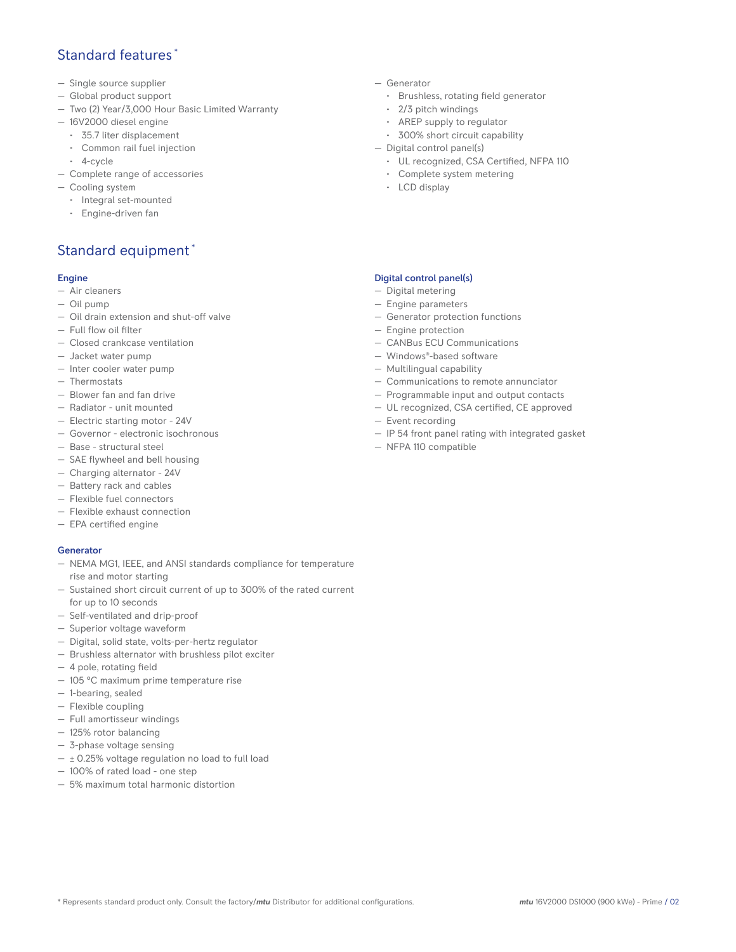## Standard features \*

- Single source supplier
- Global product support
- Two (2) Year/3,000 Hour Basic Limited Warranty
- 16V2000 diesel engine
	- 35.7 liter displacement
	- Common rail fuel injection
- 4-cycle
- Complete range of accessories
- Cooling system
	- Integral set-mounted
	- Engine-driven fan

# Standard equipment \*

#### Engine

- Air cleaners
- Oil pump
- Oil drain extension and shut-off valve
- Full flow oil filter
- Closed crankcase ventilation
- Jacket water pump
- Inter cooler water pump
- Thermostats
- Blower fan and fan drive
- Radiator unit mounted
- Electric starting motor 24V
- Governor electronic isochronous
- Base structural steel
- SAE flywheel and bell housing
- Charging alternator 24V
- Battery rack and cables
- Flexible fuel connectors
- Flexible exhaust connection
- EPA certified engine

#### **Generator**

- NEMA MG1, IEEE, and ANSI standards compliance for temperature rise and motor starting
- Sustained short circuit current of up to 300% of the rated current for up to 10 seconds
- Self-ventilated and drip-proof
- Superior voltage waveform
- Digital, solid state, volts-per-hertz regulator
- Brushless alternator with brushless pilot exciter
- 4 pole, rotating field
- 105 °C maximum prime temperature rise
- 1-bearing, sealed
- Flexible coupling
- Full amortisseur windings
- 125% rotor balancing
- 3-phase voltage sensing
- $\pm$  0.25% voltage regulation no load to full load
- 100% of rated load one step
- 5% maximum total harmonic distortion
- Generator
	- Brushless, rotating field generator
	- 2/3 pitch windings
	- AREP supply to regulator
	- 300% short circuit capability
- Digital control panel(s)
	- UL recognized, CSA Certified, NFPA 110
	- Complete system metering
	- LCD display

#### Digital control panel(s)

- Digital metering
- Engine parameters
- Generator protection functions
- Engine protection
- CANBus ECU Communications
- Windows®-based software
- Multilingual capability
- Communications to remote annunciator
- Programmable input and output contacts
- UL recognized, CSA certified, CE approved
- Event recording
- IP 54 front panel rating with integrated gasket
- NFPA 110 compatible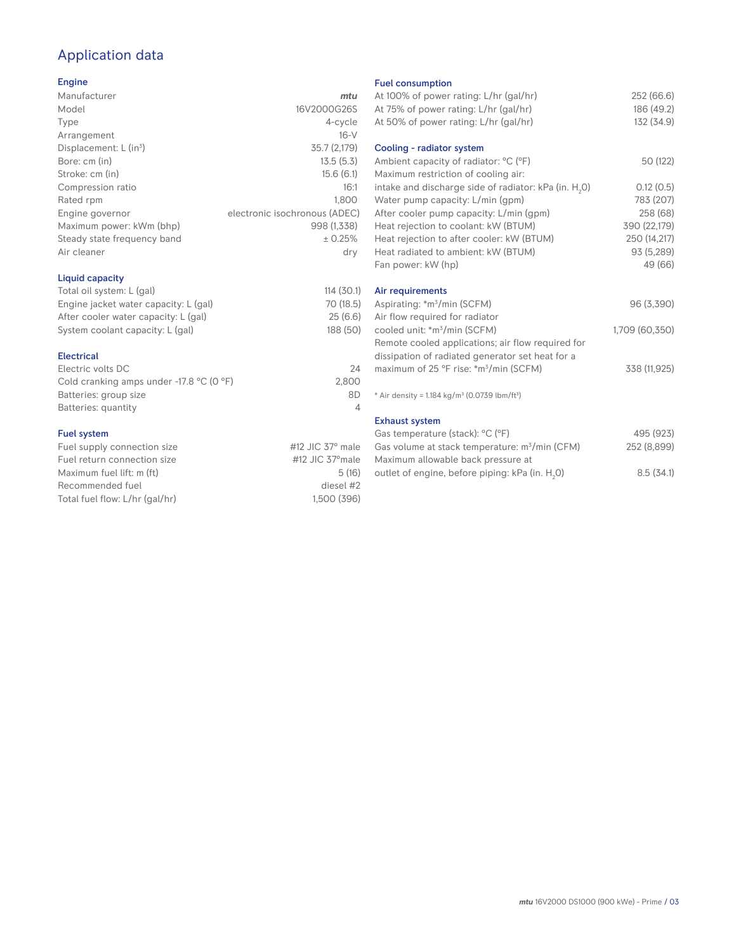# Application data

#### Engine

| Manufacturer                         | mtu                           |
|--------------------------------------|-------------------------------|
| Model                                | 16V2000G26S                   |
| Type                                 | 4-cycle                       |
| Arrangement                          | $16-V$                        |
| Displacement: $L$ (in <sup>3</sup> ) | 35.7 (2,179)                  |
| Bore: cm (in)                        | 13.5(5.3)                     |
| Stroke: cm (in)                      | 15.6(6.1)                     |
| Compression ratio                    | 16:1                          |
| Rated rpm                            | 1.800                         |
| Engine governor                      | electronic isochronous (ADEC) |
| Maximum power: kWm (bhp)             | 998 (1.338)                   |
| Steady state frequency band          | ± 0.25%                       |
| Air cleaner                          | dry                           |
|                                      |                               |

## Liquid capacity

| Total oil system: L (gal)             | 114(30.1) |  |
|---------------------------------------|-----------|--|
| Engine jacket water capacity: L (gal) | 70 (18.5) |  |
| After cooler water capacity: L (gal)  | 25(6.6)   |  |
| System coolant capacity: L (gal)      | 188 (50)  |  |
|                                       |           |  |

### Electrical

| Electric volts DC                                            | 24    |
|--------------------------------------------------------------|-------|
| Cold cranking amps under -17.8 $^{\circ}$ C (O $^{\circ}$ F) | 2.800 |
| Batteries: group size                                        | 8D    |
| Batteries: quantity                                          |       |

#### Fuel system

| Fuel supply connection size    | #12 JIC $37^\circ$ male |
|--------------------------------|-------------------------|
| Fuel return connection size    | #12 JIC 37° male        |
| Maximum fuel lift: m (ft)      | 5(16)                   |
| Recommended fuel               | diesel #2               |
| Total fuel flow: L/hr (gal/hr) | 1.500 (396)             |
|                                |                         |

#### Fuel consumption

| At 100% of power rating: L/hr (gal/hr)<br>At 75% of power rating: L/hr (gal/hr)<br>At 50% of power rating: L/hr (gal/hr) | 252 (66.6)<br>186 (49.2)<br>132 (34.9) |
|--------------------------------------------------------------------------------------------------------------------------|----------------------------------------|
| Cooling - radiator system<br>Ambient capacity of radiator: °C (°F)                                                       | 50 (122)                               |
| Maximum restriction of cooling air:                                                                                      |                                        |
| intake and discharge side of radiator: kPa (in. H <sub>2</sub> O)                                                        | 0.12(0.5)                              |
| Water pump capacity: L/min (gpm)                                                                                         | 783 (207)                              |
| After cooler pump capacity: L/min (gpm)                                                                                  | 258 (68)                               |
| Heat rejection to coolant: kW (BTUM)                                                                                     | 390 (22,179)                           |
| Heat rejection to after cooler: kW (BTUM)                                                                                | 250 (14,217)                           |
| Heat radiated to ambient: kW (BTUM)                                                                                      | 93 (5,289)                             |
| Fan power: kW (hp)                                                                                                       | 49 (66)                                |
| Air requirements                                                                                                         |                                        |
| Aspirating: *m <sup>3</sup> /min (SCFM)                                                                                  | 96 (3,390)                             |
| Air flow required for radiator                                                                                           |                                        |
| cooled unit: *m <sup>3</sup> /min (SCFM)                                                                                 | 1,709 (60,350)                         |
| Remote cooled applications; air flow required for                                                                        |                                        |
| dissipation of radiated generator set heat for a                                                                         |                                        |
| maximum of 25 °F rise: *m <sup>3</sup> /min (SCFM)                                                                       | 338 (11,925)                           |
| * Air density = $1.184 \text{ kg/m}^3$ (0.0739 lbm/ft <sup>3</sup> )                                                     |                                        |
| <b>Exhaust system</b>                                                                                                    |                                        |
| Gas temperature (stack): °C (°F)                                                                                         | 495 (923)                              |
| Gas volume at stack temperature: m <sup>3</sup> /min (CFM)                                                               | 252 (8,899)                            |
| Maximum allowable back pressure at                                                                                       |                                        |
| outlet of engine, before piping: kPa (in. H <sub>2</sub> 0)                                                              | 8.5(34.1)                              |

outlet of engine, before piping: kPa (in.  ${\sf H}_{_2}$